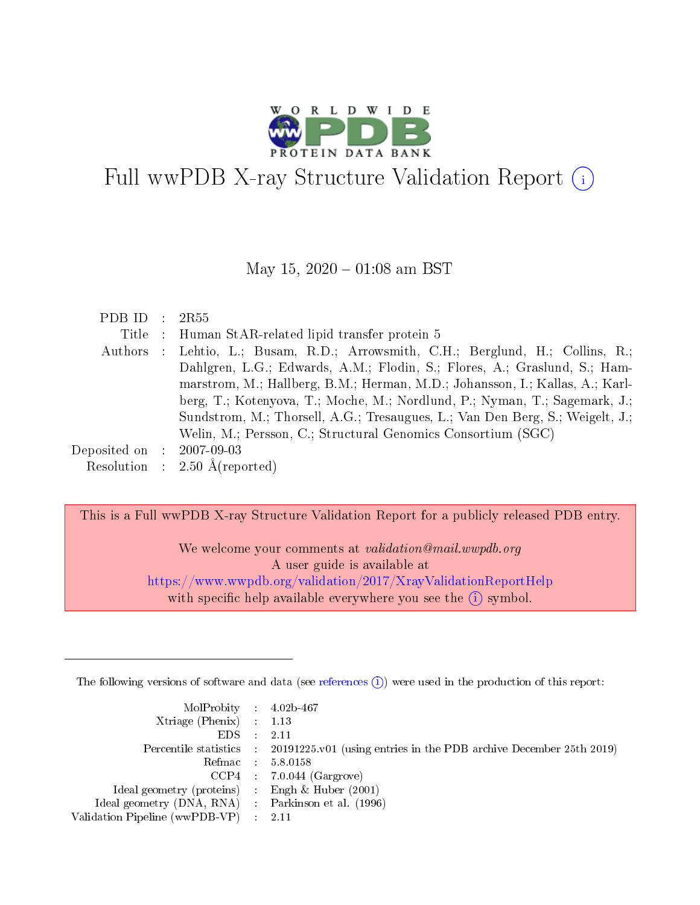

# Full wwPDB X-ray Structure Validation Report  $(i)$

### May 15,  $2020 - 01:08$  am BST

| PDB ID : $2R55$             |                                                                               |
|-----------------------------|-------------------------------------------------------------------------------|
| Title                       | : Human StAR-related lipid transfer protein 5                                 |
| Authors                     | : Lehtio, L.; Busam, R.D.; Arrowsmith, C.H.; Berglund, H.; Collins, R.;       |
|                             | Dahlgren, L.G.; Edwards, A.M.; Flodin, S.; Flores, A.; Graslund, S.; Ham-     |
|                             | marstrom, M.; Hallberg, B.M.; Herman, M.D.; Johansson, I.; Kallas, A.; Karl-  |
|                             | berg, T.; Kotenyova, T.; Moche, M.; Nordlund, P.; Nyman, T.; Sagemark, J.;    |
|                             | Sundstrom, M.; Thorsell, A.G.; Tresaugues, L.; Van Den Berg, S.; Weigelt, J.; |
|                             | Welin, M.; Persson, C.; Structural Genomics Consortium (SGC)                  |
| Deposited on : $2007-09-03$ |                                                                               |
|                             | Resolution : $2.50 \text{ Å}$ (reported)                                      |

This is a Full wwPDB X-ray Structure Validation Report for a publicly released PDB entry.

We welcome your comments at validation@mail.wwpdb.org A user guide is available at <https://www.wwpdb.org/validation/2017/XrayValidationReportHelp> with specific help available everywhere you see the  $(i)$  symbol.

The following versions of software and data (see [references](https://www.wwpdb.org/validation/2017/XrayValidationReportHelp#references)  $(i)$ ) were used in the production of this report:

| $MolProbability$ 4.02b-467                          |                                                                                            |
|-----------------------------------------------------|--------------------------------------------------------------------------------------------|
| Xtriage (Phenix) $: 1.13$                           |                                                                                            |
| $EDS$ :                                             | 2.11                                                                                       |
|                                                     | Percentile statistics : 20191225.v01 (using entries in the PDB archive December 25th 2019) |
|                                                     | Refmac : 5.8.0158                                                                          |
| CCP4                                                | $7.0.044$ (Gargrove)                                                                       |
| Ideal geometry (proteins)                           | Engh $\&$ Huber (2001)                                                                     |
| Ideal geometry (DNA, RNA) : Parkinson et al. (1996) |                                                                                            |
| Validation Pipeline (wwPDB-VP)                      | -2.11                                                                                      |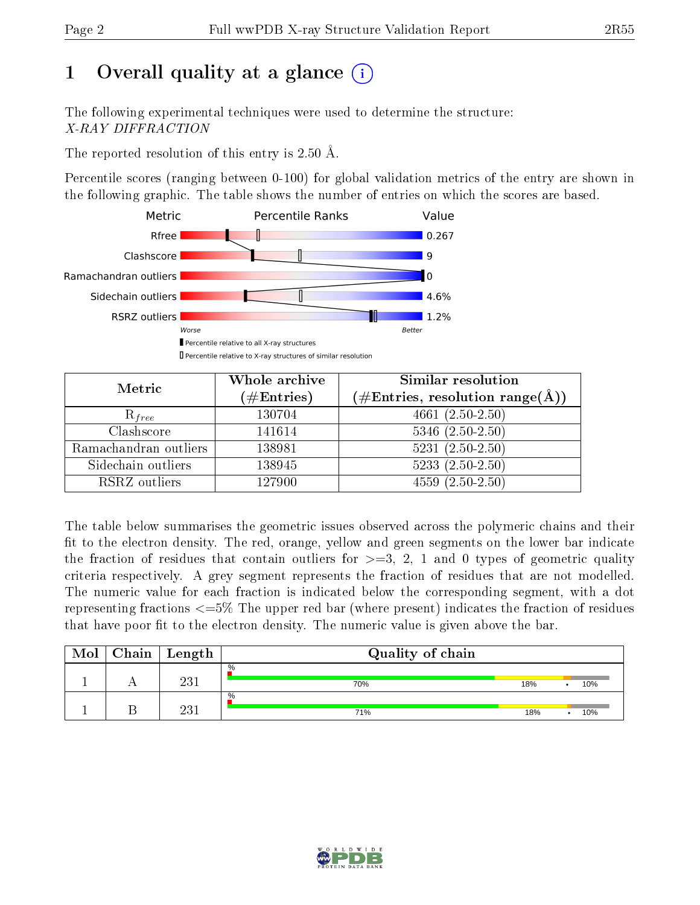# 1 [O](https://www.wwpdb.org/validation/2017/XrayValidationReportHelp#overall_quality)verall quality at a glance  $(i)$

The following experimental techniques were used to determine the structure: X-RAY DIFFRACTION

The reported resolution of this entry is 2.50 Å.

Percentile scores (ranging between 0-100) for global validation metrics of the entry are shown in the following graphic. The table shows the number of entries on which the scores are based.



| Metric                | Whole archive<br>$(\#\text{Entries})$ | Similar resolution<br>$(\#\text{Entries},\,\text{resolution}\,\,\text{range}(\textup{\AA}))$ |  |  |
|-----------------------|---------------------------------------|----------------------------------------------------------------------------------------------|--|--|
| $R_{free}$            | 130704                                | 4661 $(2.50-2.50)$                                                                           |  |  |
| Clashscore            | 141614                                | $5346$ $(2.50-2.50)$                                                                         |  |  |
| Ramachandran outliers | 138981                                | $5231 (2.50 - 2.50)$                                                                         |  |  |
| Sidechain outliers    | 138945                                | $5233(2.50-2.50)$                                                                            |  |  |
| RSRZ outliers         | 127900                                | $4559(2.50-2.50)$                                                                            |  |  |

The table below summarises the geometric issues observed across the polymeric chains and their fit to the electron density. The red, orange, yellow and green segments on the lower bar indicate the fraction of residues that contain outliers for  $>=3, 2, 1$  and 0 types of geometric quality criteria respectively. A grey segment represents the fraction of residues that are not modelled. The numeric value for each fraction is indicated below the corresponding segment, with a dot representing fractions  $\epsilon=5\%$  The upper red bar (where present) indicates the fraction of residues that have poor fit to the electron density. The numeric value is given above the bar.

| Mol | $Chain \  Length$ | Quality of chain |     |     |  |  |  |  |
|-----|-------------------|------------------|-----|-----|--|--|--|--|
|     | 23 <sup>1</sup>   | $\%$<br>70%      | 18% | 10% |  |  |  |  |
|     | 23 <sup>1</sup>   | $\%$<br>71%      | 18% | 10% |  |  |  |  |

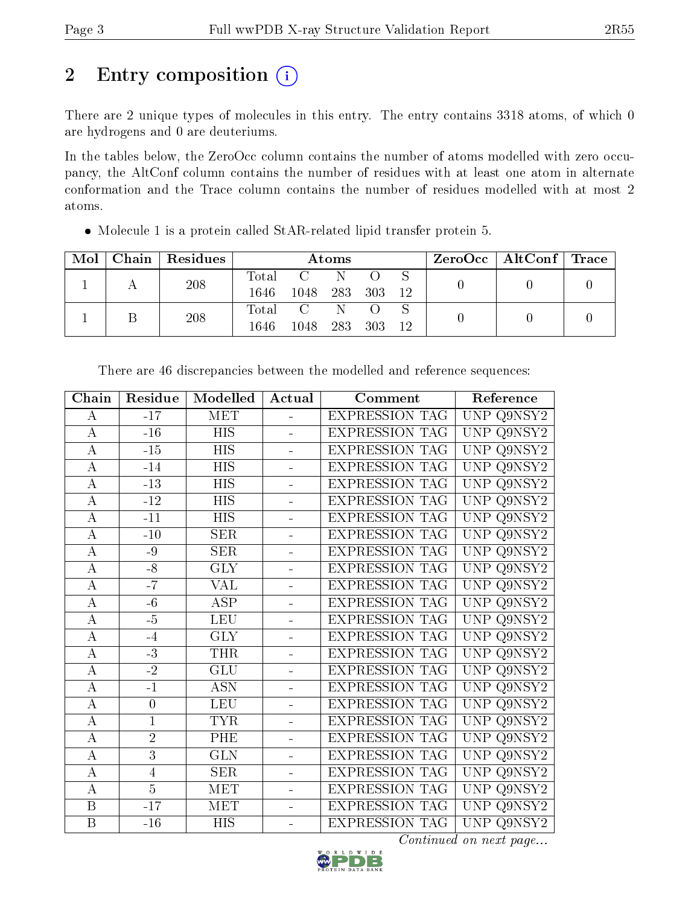# 2 Entry composition (i)

There are 2 unique types of molecules in this entry. The entry contains 3318 atoms, of which 0 are hydrogens and 0 are deuteriums.

In the tables below, the ZeroOcc column contains the number of atoms modelled with zero occupancy, the AltConf column contains the number of residues with at least one atom in alternate conformation and the Trace column contains the number of residues modelled with at most 2 atoms.

| Mol |     | Chain   Residues | Atoms       |     |      |     |  |  | $ZeroOcc \mid AltConf \mid Trace$ |  |
|-----|-----|------------------|-------------|-----|------|-----|--|--|-----------------------------------|--|
|     | 208 | Total            |             | -N  |      |     |  |  |                                   |  |
|     |     | 1646             | 1048 283    |     | 303  | -12 |  |  |                                   |  |
|     |     | 208              | $\rm Total$ |     | N    |     |  |  |                                   |  |
|     |     | 1646.            | 1048        | 283 | -303 | 12  |  |  |                                   |  |

Molecule 1 is a protein called StAR-related lipid transfer protein 5.

| Chain                   | Residue        | Modelled                | Actual         | $\bf {Comment}$       | Reference                          |
|-------------------------|----------------|-------------------------|----------------|-----------------------|------------------------------------|
| А                       | $-17$          | <b>MET</b>              | ÷.             | <b>EXPRESSION TAG</b> | UNP Q9NSY2                         |
| $\boldsymbol{A}$        | $-16$          | <b>HIS</b>              |                | EXPRESSION TAG        | UNP Q9NSY2                         |
| $\boldsymbol{A}$        | $-15$          | <b>HIS</b>              |                | <b>EXPRESSION TAG</b> | UNP Q9NSY2                         |
| $\boldsymbol{A}$        | $-14$          | <b>HIS</b>              |                | <b>EXPRESSION TAG</b> | Q9NSY2<br><b>UNP</b>               |
| $\boldsymbol{A}$        | $-13$          | <b>HIS</b>              | ÷.             | <b>EXPRESSION TAG</b> | UNP Q9NSY2                         |
| A                       | $-12$          | <b>HIS</b>              | ÷,             | <b>EXPRESSION TAG</b> | UNP Q9NSY2                         |
| $\bf{A}$                | $-11$          | <b>HIS</b>              | ä,             | <b>EXPRESSION TAG</b> | UNP Q9NSY2                         |
| А                       | $-10$          | SER                     | $\overline{a}$ | <b>EXPRESSION TAG</b> | UNP<br>$Q9N\overline{SY2}$         |
| $\boldsymbol{A}$        | $-9$           | <b>SER</b>              | -              | <b>EXPRESSION TAG</b> | <b>UNP</b><br>Q9NSY2               |
| $\overline{\rm A}$      | $-\sqrt{8}$    | $\overline{\text{GLY}}$ | $\equiv$       | <b>EXPRESSION TAG</b> | <b>UNP</b><br>$\overline{Q9NSY2}$  |
| А                       | $-7$           | VAL                     | ÷,             | <b>EXPRESSION TAG</b> | Q9NSY2<br><b>UNP</b>               |
| $\boldsymbol{A}$        | $-6$           | ASP                     |                | <b>EXPRESSION TAG</b> | <b>UNP</b><br>$Q9N\overline{SY2}$  |
| $\boldsymbol{A}$        | $-5$           | <b>LEU</b>              | ÷,             | <b>EXPRESSION TAG</b> | $\overline{Q9NSY2}$<br><b>UNP</b>  |
| $\boldsymbol{A}$        | $-4$           | <b>GLY</b>              | $\overline{a}$ | <b>EXPRESSION TAG</b> | UNP Q9NSY2                         |
| A                       | $-3$           | <b>THR</b>              | ÷              | <b>EXPRESSION TAG</b> | UNP Q9NSY2                         |
| $\bf{A}$                | $-2$           | <b>GLU</b>              | -              | <b>EXPRESSION TAG</b> | UNP Q9NSY2                         |
| $\boldsymbol{A}$        | $-1$           | $\overline{\text{ASN}}$ | $\equiv$       | <b>EXPRESSION TAG</b> | UNP<br>Q9NSY2                      |
| $\boldsymbol{A}$        | $\overline{0}$ | <b>LEU</b>              | ÷,             | <b>EXPRESSION TAG</b> | <b>UNP</b><br>$Q9N\overline{SY2}$  |
| $\boldsymbol{A}$        | $\mathbf{1}$   | <b>TYR</b>              | ÷              | <b>EXPRESSION TAG</b> | Q9NSY2<br><b>UNP</b>               |
| А                       | $\overline{2}$ | PHE                     | ÷,             | <b>EXPRESSION TAG</b> | <b>UNP</b><br>$\overline{Q9}$ NSY2 |
| $\boldsymbol{A}$        | $\overline{3}$ | <b>GLN</b>              |                | <b>EXPRESSION TAG</b> | UNP<br>Q9NSY2                      |
| $\boldsymbol{A}$        | 4              | <b>SER</b>              | ä,             | <b>EXPRESSION TAG</b> | <b>UNP</b><br>$Q9N\overline{SY2}$  |
| $\boldsymbol{A}$        | $\overline{5}$ | <b>MET</b>              | $\equiv$       | <b>EXPRESSION TAG</b> | UNP Q9NSY2                         |
| $\, {\bf B}$            | $-17$          | <b>MET</b>              | ÷.             | <b>EXPRESSION TAG</b> | UNP Q9NSY2                         |
| $\overline{\mathbf{B}}$ | $-16$          | <b>HIS</b>              | ÷,             | <b>EXPRESSION TAG</b> | UNP Q9NSY2                         |

There are 46 discrepancies between the modelled and reference sequences:

D W I D E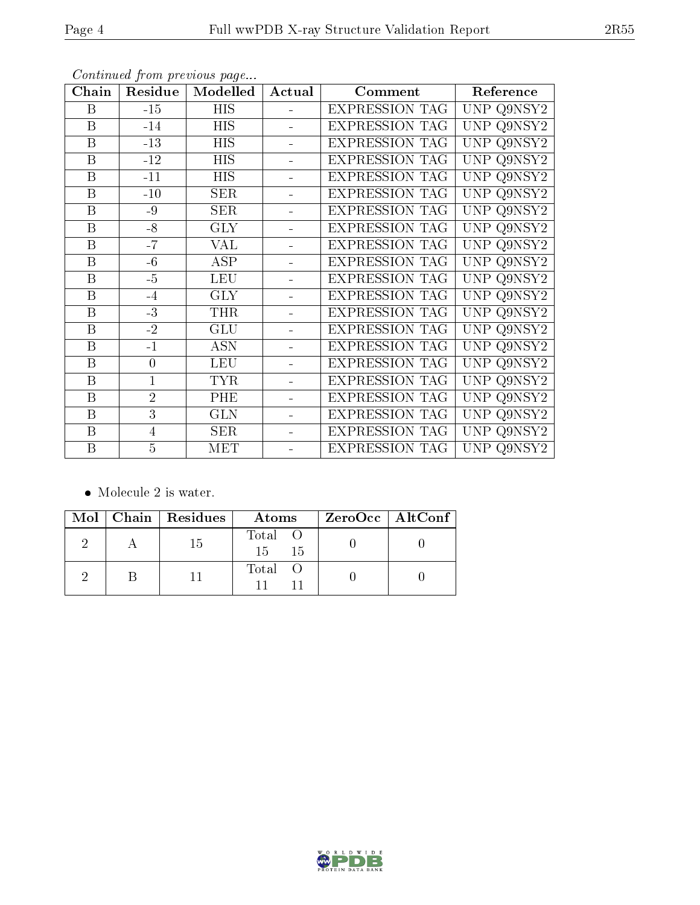| Chain            | Residue        | Modelled   | Actual                   | Comment               | Reference     |
|------------------|----------------|------------|--------------------------|-----------------------|---------------|
| B                | $-15$          | <b>HIS</b> |                          | <b>EXPRESSION TAG</b> | UNP Q9NSY2    |
| $\, {\bf B}$     | $-14$          | <b>HIS</b> |                          | <b>EXPRESSION TAG</b> | UNP Q9NSY2    |
| B                | $-13$          | <b>HIS</b> |                          | <b>EXPRESSION TAG</b> | UNP Q9NSY2    |
| B                | $-12$          | HIS        | ÷                        | <b>EXPRESSION TAG</b> | Q9NSY2<br>UNP |
| $\boldsymbol{B}$ | $-11$          | <b>HIS</b> |                          | <b>EXPRESSION TAG</b> | UNP Q9NSY2    |
| B                | $-10$          | <b>SER</b> |                          | <b>EXPRESSION TAG</b> | UNP Q9NSY2    |
| $\, {\bf B}$     | $-9$           | SER        | $\overline{\phantom{0}}$ | <b>EXPRESSION TAG</b> | UNP Q9NSY2    |
| $\boldsymbol{B}$ | $-8$           | <b>GLY</b> |                          | <b>EXPRESSION TAG</b> | UNP Q9NSY2    |
| $\boldsymbol{B}$ | $-7$           | <b>VAL</b> |                          | <b>EXPRESSION TAG</b> | UNP Q9NSY2    |
| B                | $-6$           | <b>ASP</b> |                          | <b>EXPRESSION TAG</b> | UNP Q9NSY2    |
| $\boldsymbol{B}$ | $-5$           | <b>LEU</b> |                          | <b>EXPRESSION TAG</b> | UNP Q9NSY2    |
| $\boldsymbol{B}$ | $-4$           | <b>GLY</b> |                          | <b>EXPRESSION TAG</b> | UNP Q9NSY2    |
| B                | $-3$           | <b>THR</b> |                          | <b>EXPRESSION TAG</b> | UNP Q9NSY2    |
| B                | $-2$           | <b>GLU</b> |                          | <b>EXPRESSION TAG</b> | Q9NSY2<br>UNP |
| $\boldsymbol{B}$ | $-1$           | <b>ASN</b> |                          | <b>EXPRESSION TAG</b> | Q9NST2<br>UNP |
| $\, {\bf B}$     | $\overline{0}$ | <b>LEU</b> |                          | <b>EXPRESSION TAG</b> | UNP Q9NSY2    |
| $\boldsymbol{B}$ | $\mathbf{1}$   | <b>TYR</b> | $\blacksquare$           | <b>EXPRESSION TAG</b> | Q9NSY2<br>UNP |
| $\boldsymbol{B}$ | $\overline{2}$ | PHE        | $\equiv$                 | <b>EXPRESSION TAG</b> | UNP Q9NSY2    |
| B                | 3              | <b>GLN</b> |                          | <b>EXPRESSION TAG</b> | UNP Q9NSY2    |
| $\, {\bf B}$     | 4              | <b>SER</b> | $\overline{\phantom{0}}$ | <b>EXPRESSION TAG</b> | UNP Q9NSY2    |
| B                | $\overline{5}$ | <b>MET</b> |                          | <b>EXPRESSION TAG</b> | UNP Q9NSY2    |

Continued from previous page...

 $\bullet\,$  Molecule 2 is water.

|  | Mol   Chain   Residues | Atoms                     | ZeroOcc   AltConf |  |
|--|------------------------|---------------------------|-------------------|--|
|  | 15                     | Total O<br>$15 -$<br>- 15 |                   |  |
|  |                        | Total O                   |                   |  |

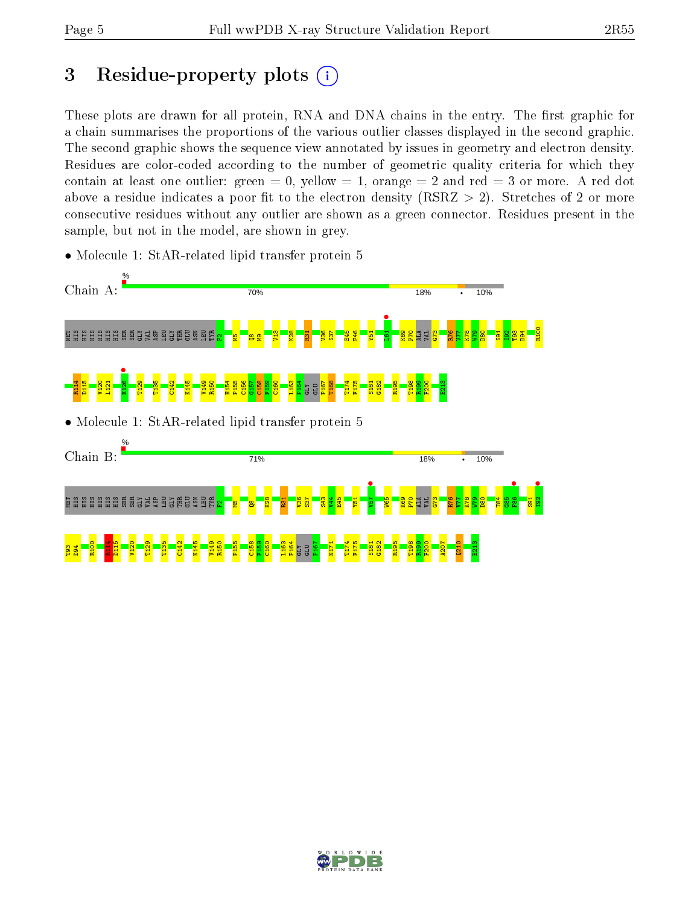# 3 Residue-property plots  $(i)$

These plots are drawn for all protein, RNA and DNA chains in the entry. The first graphic for a chain summarises the proportions of the various outlier classes displayed in the second graphic. The second graphic shows the sequence view annotated by issues in geometry and electron density. Residues are color-coded according to the number of geometric quality criteria for which they contain at least one outlier: green  $= 0$ , yellow  $= 1$ , orange  $= 2$  and red  $= 3$  or more. A red dot above a residue indicates a poor fit to the electron density (RSRZ  $> 2$ ). Stretches of 2 or more consecutive residues without any outlier are shown as a green connector. Residues present in the sample, but not in the model, are shown in grey.



• Molecule 1: StAR-related lipid transfer protein 5

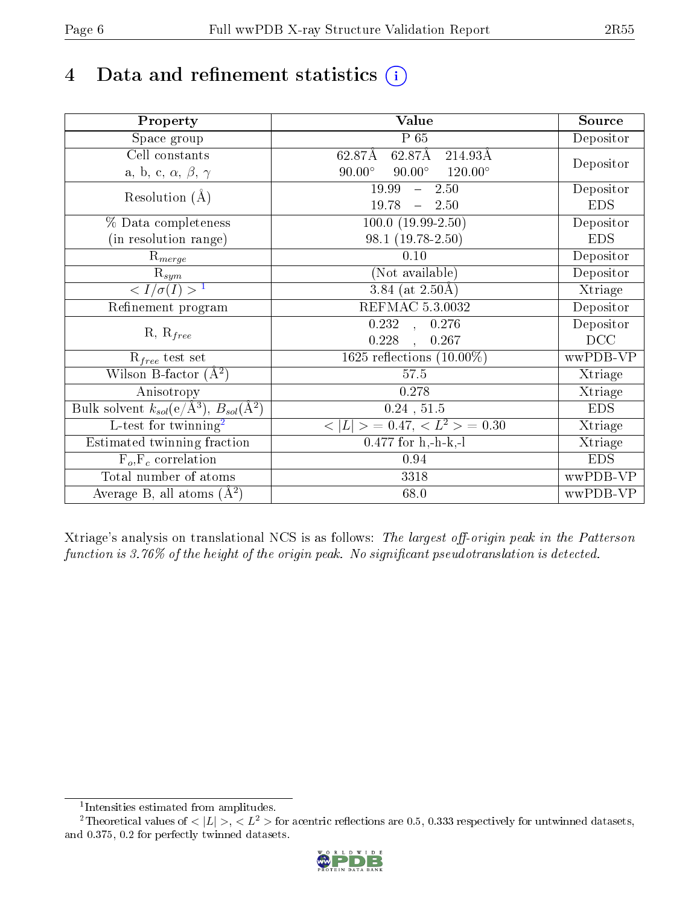# 4 Data and refinement statistics  $(i)$

| Property                                                             | Value                                             | Source     |
|----------------------------------------------------------------------|---------------------------------------------------|------------|
| Space group                                                          | $\overline{P_65}$                                 | Depositor  |
| Cell constants                                                       | $62.87\text{\AA}$<br>$62.87\text{\AA}$<br>214.93Å |            |
| a, b, c, $\alpha$ , $\beta$ , $\gamma$                               | $90.00^\circ$<br>$120.00^\circ$<br>$90.00^\circ$  | Depositor  |
| Resolution $(A)$                                                     | 19.99<br>$-2.50$                                  | Depositor  |
|                                                                      | 19.78<br>$-2.50$                                  | <b>EDS</b> |
| % Data completeness                                                  | $100.0(19.99-2.50)$                               | Depositor  |
| (in resolution range)                                                | 98.1 (19.78-2.50)                                 | <b>EDS</b> |
| $\mathrm{R}_{merge}$                                                 | 0.10                                              | Depositor  |
| $\mathrm{R}_{sym}$                                                   | (Not available)                                   | Depositor  |
| $\sqrt{I/\sigma(I)} > 1$                                             | 3.84 (at $2.50\text{\AA}$ )                       | Xtriage    |
| Refinement program                                                   | <b>REFMAC 5.3.0032</b>                            | Depositor  |
|                                                                      | $\overline{0.232}$ ,<br>0.276                     | Depositor  |
| $R, R_{free}$                                                        | 0.228<br>0.267<br>$\ddot{\phantom{a}}$            | DCC        |
| $R_{free}$ test set                                                  | 1625 reflections $(10.00\%)$                      | wwPDB-VP   |
| Wilson B-factor $(A^2)$                                              | 57.5                                              | Xtriage    |
| Anisotropy                                                           | 0.278                                             | Xtriage    |
| Bulk solvent $k_{sol}(e/\mathring{A}^3)$ , $B_{sol}(\mathring{A}^2)$ | $0.24$ , $51.5$                                   | <b>EDS</b> |
| $\overline{L-test for}$ twinning <sup>2</sup>                        | $< L >$ = 0.47, $< L2$ = 0.30                     | Xtriage    |
| Estimated twinning fraction                                          | $\overline{0.477}$ for h,-h-k,-l                  | Xtriage    |
| $F_o, F_c$ correlation                                               | 0.94                                              | <b>EDS</b> |
| Total number of atoms                                                | 3318                                              | wwPDB-VP   |
| Average B, all atoms $(A^2)$                                         | 68.0                                              | wwPDB-VP   |

Xtriage's analysis on translational NCS is as follows: The largest off-origin peak in the Patterson function is  $3.76\%$  of the height of the origin peak. No significant pseudotranslation is detected.

<sup>&</sup>lt;sup>2</sup>Theoretical values of  $\langle |L| \rangle$ ,  $\langle L^2 \rangle$  for acentric reflections are 0.5, 0.333 respectively for untwinned datasets, and 0.375, 0.2 for perfectly twinned datasets.



<span id="page-5-1"></span><span id="page-5-0"></span><sup>1</sup> Intensities estimated from amplitudes.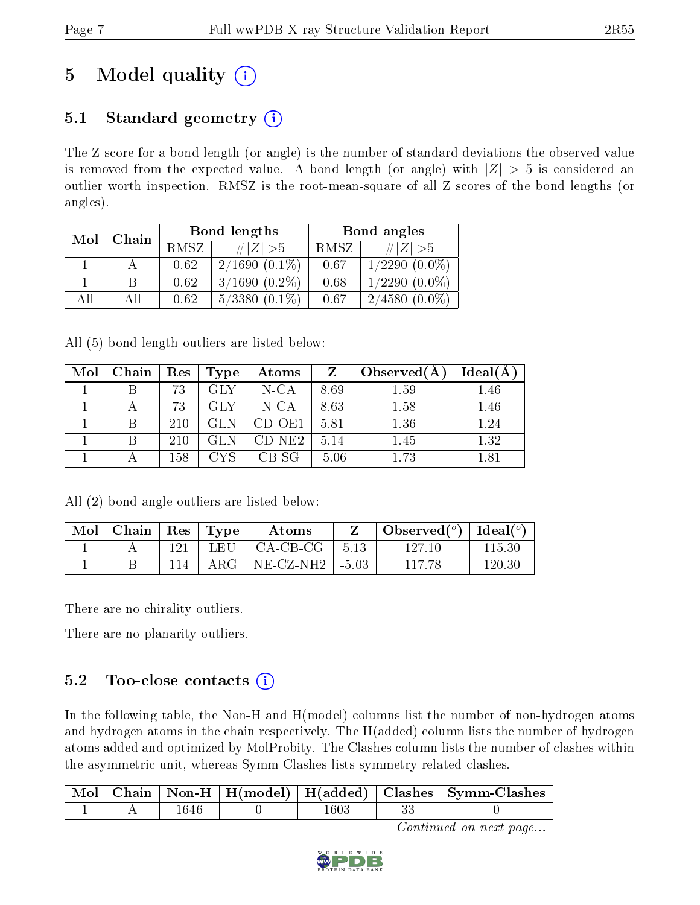# 5 Model quality  $(i)$

# 5.1 Standard geometry  $(i)$

The Z score for a bond length (or angle) is the number of standard deviations the observed value is removed from the expected value. A bond length (or angle) with  $|Z| > 5$  is considered an outlier worth inspection. RMSZ is the root-mean-square of all Z scores of the bond lengths (or angles).

| Mol | Chain |      | Bond lengths       | Bond angles |                     |  |
|-----|-------|------|--------------------|-------------|---------------------|--|
|     |       | RMSZ | # $ Z  > 5$        | RMSZ        | # $ Z  > 5$         |  |
|     |       | 0.62 | $2/1690(0.1\%)$    | 0.67        | $1/2290$ $(0.0\%)$  |  |
|     |       | 0.62 | $3/1690(0.2\%)$    | 0.68        | $1/2290$ $(0.0\%)$  |  |
| AIL | АH    | 0.62 | $5/3380$ $(0.1\%)$ | 0.67        | 2/4580<br>$(0.0\%)$ |  |

All (5) bond length outliers are listed below:

| Mol | Chain | $\operatorname{Res}$ | Type       | Atoms    | Z       | Observed $(A)$ | Ideal(A) |
|-----|-------|----------------------|------------|----------|---------|----------------|----------|
|     |       | 73                   | <b>GLY</b> | $N-CA$   | 8.69    | $1.59\,$       | 1.46     |
|     |       | 73                   | GLY        | $N$ -CA  | 8.63    | 1.58           | 1.46     |
|     |       | 210                  |            | $CD-OE1$ | 5.81    | 1.36           | 1.24     |
|     |       | 210                  |            | $CD-NE2$ | 5.14    | 1.45           | 1.32     |
|     |       | 158                  |            | $CB-SG$  | $-5.06$ | $1.73\,$       | $1.81\,$ |

All (2) bond angle outliers are listed below:

| $\operatorname{Mol}$ | $\vert$ Chain $\vert$ Res $\vert$ Type |     |      | Atoms        |         | Observed $(^\circ)$   Ideal $(^\circ)$ |          |
|----------------------|----------------------------------------|-----|------|--------------|---------|----------------------------------------|----------|
|                      |                                        | 121 | LEU  | CA-CB-CG     | 5.13    | -127-10-                               | 115.30   |
|                      |                                        |     | ARG- | $NE- CZ-NH2$ | $-5.03$ |                                        | 1 20 .30 |

There are no chirality outliers.

There are no planarity outliers.

# 5.2 Too-close contacts  $(i)$

In the following table, the Non-H and H(model) columns list the number of non-hydrogen atoms and hydrogen atoms in the chain respectively. The H(added) column lists the number of hydrogen atoms added and optimized by MolProbity. The Clashes column lists the number of clashes within the asymmetric unit, whereas Symm-Clashes lists symmetry related clashes.

|  |      |      | Mol   Chain   Non-H   H(model)   H(added)   Clashes   Symm-Clashes |
|--|------|------|--------------------------------------------------------------------|
|  | 1646 | '605 |                                                                    |

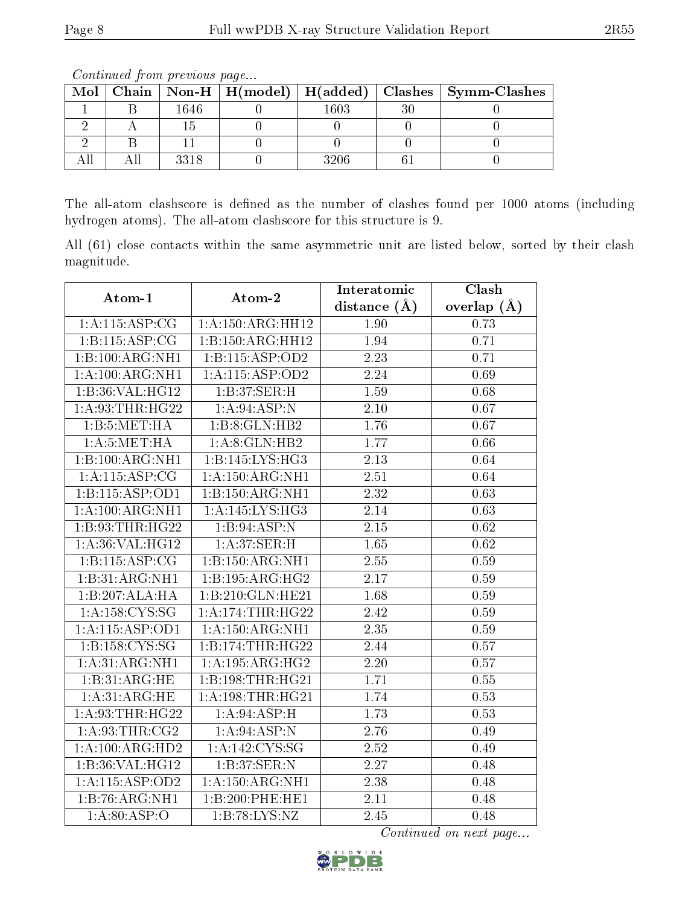| Mol |      |      | Chain   Non-H   H(model)   H(added)   Clashes   Symm-Clashes |
|-----|------|------|--------------------------------------------------------------|
|     | 1646 | 603  |                                                              |
|     |      |      |                                                              |
|     |      |      |                                                              |
|     | 3318 | 3206 |                                                              |

Continued from previous page...

The all-atom clashscore is defined as the number of clashes found per 1000 atoms (including hydrogen atoms). The all-atom clashscore for this structure is 9.

All (61) close contacts within the same asymmetric unit are listed below, sorted by their clash magnitude.

| Atom-1              | Atom-2               | Interatomic       | Clash             |
|---------------------|----------------------|-------------------|-------------------|
|                     |                      | distance $(A)$    | overlap $(A)$     |
| 1:A:115:ASP:CG      | 1: A: 150: ARG: HH12 | 1.90              | 0.73              |
| 1:B:115:ASP:CG      | 1:B:150:ARG:HH12     | 1.94              | 0.71              |
| 1:B:100:ARG:NH1     | 1:B:115:ASP:OD2      | 2.23              | 0.71              |
| 1:A:100:ARG:NH1     | 1:A:115:ASP:OD2      | 2.24              | 0.69              |
| 1:B:36:VAL:HG12     | 1:B:37:SER:H         | 1.59              | 0.68              |
| 1: A:93:THR:HG22    | 1:A:94:ASP:N         | 2.10              | 0.67              |
| 1:B:5:MET:HA        | 1:B:8:GLN:HB2        | 1.76              | 0.67              |
| 1: A:5:MET:HA       | 1: A:8: GLN: HB2     | 1.77              | 0.66              |
| 1:B:100:ARG:NH1     | 1:B:145:LYS:HG3      | 2.13              | 0.64              |
| 1:A:115:ASP:CG      | 1: A: 150: ARG: NH1  | 2.51              | 0.64              |
| 1:B:115:ASP:OD1     | 1:B:150:ARG:NH1      | 2.32              | 0.63              |
| 1: A:100:ARG:NH1    | 1: A:145:LYS:HG3     | 2.14              | 0.63              |
| 1:B:93:THR:HG22     | 1: B:94: ASP: N      | $\overline{2.15}$ | $\overline{0.62}$ |
| 1: A:36: VAL:HG12   | 1:A:37:SER:H         | 1.65              | 0.62              |
| 1:B:115:ASP:CG      | 1: B: 150: ARG: NH1  | 2.55              | 0.59              |
| 1:B:31:ARG:NH1      | 1:B:195:ARG:HG2      | 2.17              | 0.59              |
| 1:B:207:ALA:HA      | 1:B:210:GLN:HE21     | 1.68              | 0.59              |
| 1: A: 158: CYS: SG  | 1:A:174:THR:HG22     | 2.42              | 0.59              |
| 1:A:115:ASP:OD1     | 1: A: 150: ARG: NH1  | 2.35              | 0.59              |
| 1:B:158:CYS:SG      | 1:B:174:THR:HG22     | 2.44              | 0.57              |
| 1:A:31:ARG:NH1      | 1:A:195:ARG:HG2      | 2.20              | 0.57              |
| 1:B:31:ARG:HE       | 1:B:198:THR:HG21     | 1.71              | 0.55              |
| 1: A:31: ARG:HE     | 1: A:198:THR:HG21    | 1.74              | 0.53              |
| 1: A:93:THR:HG22    | 1:A:94:ASP:H         | 1.73              | 0.53              |
| 1: A:93:THR:CG2     | 1:A:94:ASP:N         | 2.76              | 0.49              |
| 1:A:100:ARG:HD2     | 1: A: 142: CYS: SG   | 2.52              | 0.49              |
| 1:B:36:VAL:HG12     | 1:B:37:SER:N         | 2.27              | 0.48              |
| 1: A: 115: ASP: OD2 | 1:A:150:ARG:NH1      | 2.38              | 0.48              |
| 1:B:76:ARG:NH1      | 1:B:200:PHE:HE1      | 2.11              | 0.48              |
| 1: A:80: ASP:O      | 1:B:78:LYS:NZ        | 2.45              | 0.48              |

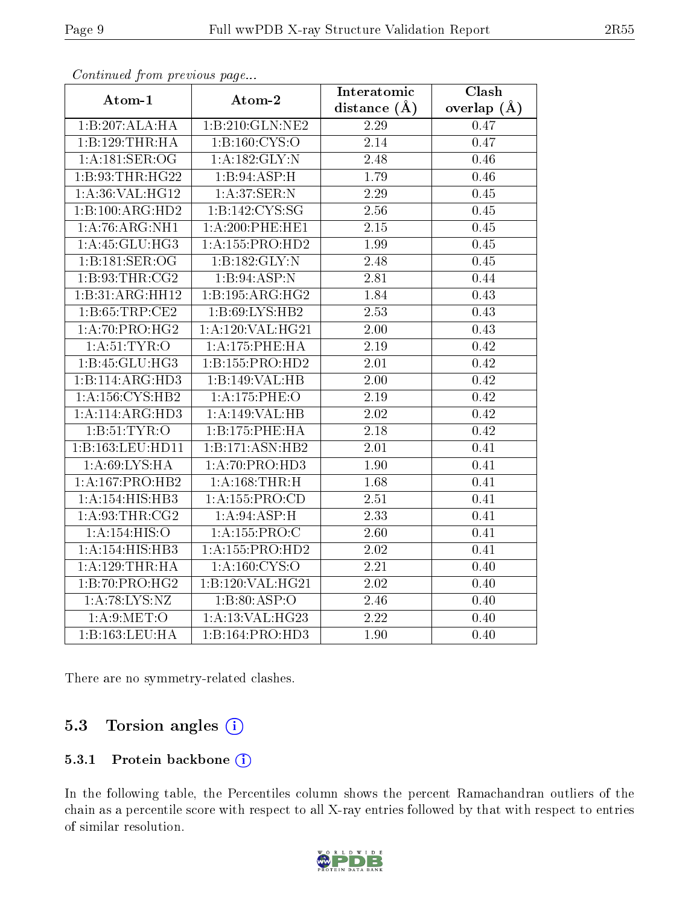| continuou promonous pago     |                        | Interatomic       | Clash         |
|------------------------------|------------------------|-------------------|---------------|
| Atom-1                       | Atom-2                 | distance $(\AA)$  | overlap $(A)$ |
| 1:B:207:ALA:HA               | 1:B:210:GLN:NE2        | 2.29              | 0.47          |
| 1:B:129:THR:HA               | 1:B:160:CYS:O          | 2.14              | 0.47          |
| 1: A:181: SER:OG             | 1:A:182:GLY:N          | 2.48              | 0.46          |
| 1:B:93:THR:HG22              | 1:B:94:ASP:H           | 1.79              | 0.46          |
| 1: A:36: VAL:HG12            | 1:A:37:SER:N           | 2.29              | 0.45          |
| 1:B:100:ARG:HD2              | 1:B:142:CYS:SG         | 2.56              | 0.45          |
| 1:A:76:ARG:NH1               | $1: A:200:$ PHE:HE $1$ | $\overline{2.15}$ | 0.45          |
| 1:A:45:GLU:HG3               | 1: A: 155: PRO: HD2    | 1.99              | 0.45          |
| 1:B:181:SER:OG               | 1: B: 182: GLY:N       | 2.48              | 0.45          |
| 1: B:93:THR:CG2              | 1:B:94:ASP:N           | 2.81              | 0.44          |
| 1:B:31:ARG:HH12              | 1:B:195:ARG:HG2        | 1.84              | 0.43          |
| 1:B:65:TRP:CE2               | 1:B:69:LYS:HB2         | 2.53              | 0.43          |
| 1:A:70:PRO:HG2               | 1:A:120:VAL:HG21       | 2.00              | 0.43          |
| 1: A:51:TYR:O                | 1:A:175:PHE:HA         | $\overline{2.19}$ | 0.42          |
| 1:B:45:GLU:HG3               | 1: B: 155: PRO: HD2    | 2.01              | 0.42          |
| $1:B:114:ARG:H\overline{D3}$ | 1:B:149:VAL:HB         | $2.00\,$          | 0.42          |
| 1: A: 156: CYS: HB2          | 1:A:175:PHE:O          | 2.19              | 0.42          |
| 1:A:114:ARG:HD3              | 1:A:149:VAL:HB         | 2.02              | 0.42          |
| 1: B: 51: TYR: O             | 1:B:175:PHE:HA         | 2.18              | 0.42          |
| 1:B:163:LEU:HD11             | 1:B:171:ASN:HB2        | $2.01\,$          | 0.41          |
| 1: A:69: LYS: HA             | 1:A:70:PRO:HD3         | $\overline{1.90}$ | 0.41          |
| 1: A: 167: PRO: HB2          | 1: A: 168: THR: H      | 1.68              | 0.41          |
| 1:A:154:HIS:HB3              | 1:A:155:PRO:CD         | 2.51              | 0.41          |
| 1: A:93:THR:CG2              | 1: A:94: ASP:H         | 2.33              | 0.41          |
| 1:A:154:HIS:O                | 1:A:155:PRO:C          | 2.60              | 0.41          |
| 1:A:154:HIS:HB3              | 1:A:155:PRO:HD2        | 2.02              | 0.41          |
| 1: A:129:THR:HA              | 1:A:160:CYS:O          | 2.21              | 0.40          |
| 1:B:70:PRO:HG2               | 1:B:120:VAL:HG21       | 2.02              | 0.40          |
| 1: A:78: LYS: NZ             | 1:B:80:ASP:O           | 2.46              | 0.40          |
| 1: A:9: MET:O                | 1: A:13: VAL:HG23      | 2.22              | 0.40          |
| 1:B:163:LEU:HA               | 1:B:164:PRO:HD3        | 1.90              | 0.40          |

Continued from previous page...

There are no symmetry-related clashes.

### 5.3 Torsion angles (i)

#### 5.3.1 Protein backbone (i)

In the following table, the Percentiles column shows the percent Ramachandran outliers of the chain as a percentile score with respect to all X-ray entries followed by that with respect to entries of similar resolution.

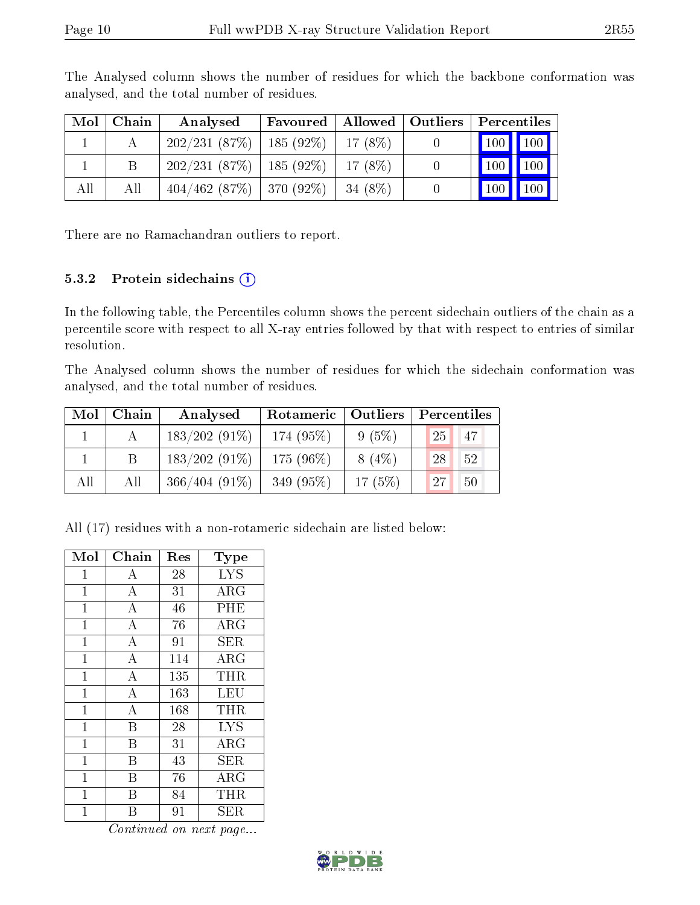| Mol | Chain | Analysed                                 | Favoured   Allowed   Outliers |         | Percentiles |                     |
|-----|-------|------------------------------------------|-------------------------------|---------|-------------|---------------------|
|     |       | $202/231$ (87\%)   185 (92\%)   17 (8\%) |                               |         | 100 100     |                     |
|     |       | $202/231$ (87\%)   185 (92\%)   17 (8\%) |                               |         | 100         | $\boxed{100}$       |
| All | All   | $404/462$ (87\%)   370 (92\%)            |                               | 34 (8%) | 100         | $\vert$ 100 $\vert$ |

The Analysed column shows the number of residues for which the backbone conformation was analysed, and the total number of residues.

There are no Ramachandran outliers to report.

#### 5.3.2 Protein sidechains  $(i)$

In the following table, the Percentiles column shows the percent sidechain outliers of the chain as a percentile score with respect to all X-ray entries followed by that with respect to entries of similar resolution.

The Analysed column shows the number of residues for which the sidechain conformation was analysed, and the total number of residues.

| Mol | Chain | Analysed        | Rotameric   Outliers |           | Percentiles |
|-----|-------|-----------------|----------------------|-----------|-------------|
|     |       | $183/202(91\%)$ | 174 (95%)            | $9(5\%)$  | 25<br>47    |
|     |       | $183/202(91\%)$ | 175 $(96\%)$         | $8(4\%)$  | 28<br>52    |
| All | All   | $366/404(91\%)$ | 349 (95%)            | 17 $(5%)$ | 27<br>50    |

All (17) residues with a non-rotameric sidechain are listed below:

| Mol          | Chain              | Res | Type        |
|--------------|--------------------|-----|-------------|
| $\mathbf{1}$ | A                  | 28  | <b>LYS</b>  |
| $\mathbf{1}$ | $\bf{A}$           | 31  | ARG         |
| $\mathbf{1}$ | $\overline{A}$     | 46  | PHE         |
| $\mathbf 1$  | $\bf{A}$           | 76  | ARG         |
| $\mathbf{1}$ | $\boldsymbol{A}$   | 91  | SER.        |
| $\mathbf{1}$ | $\overline{A}$     | 114 | $\rm{ARG}$  |
| $\mathbf 1$  | $\bf{A}$           | 135 | THR         |
| $\mathbf{1}$ | $\bf{A}$           | 163 | <b>LEU</b>  |
| $\mathbf{1}$ | $\overline{\rm A}$ | 168 | THR         |
| $\mathbf 1$  | B                  | 28  | <b>LYS</b>  |
| $\mathbf{1}$ | B                  | 31  | $\rm{ARG}$  |
| $\mathbf{1}$ | B                  | 43  | SER         |
| $\mathbf 1$  | B                  | 76  | ARG         |
| $\mathbf{1}$ | В                  | 84  | THR         |
| 1            | В                  | 91  | ${\rm SER}$ |

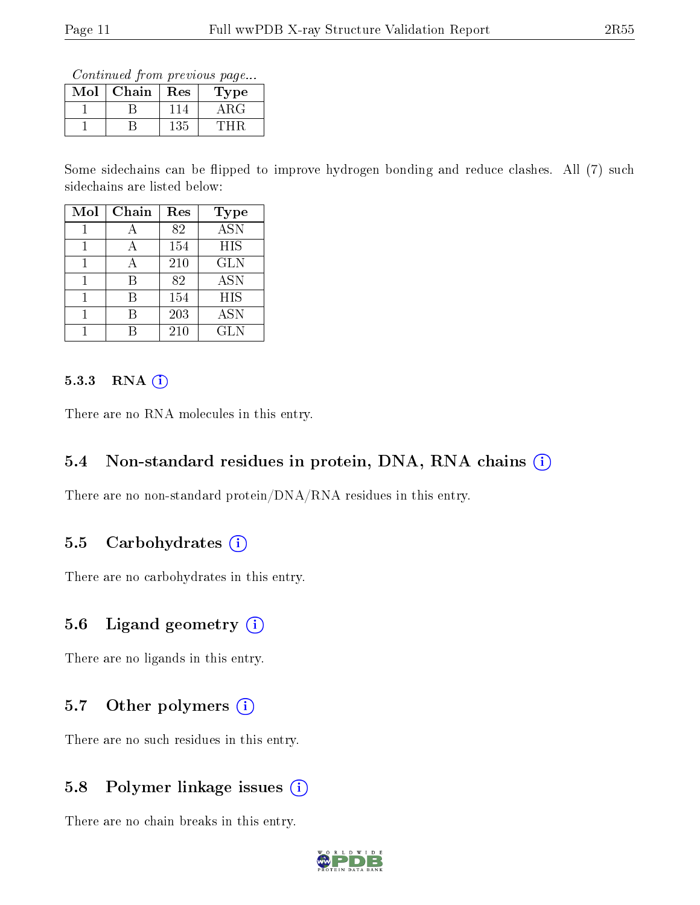Continued from previous page...

| $\operatorname{Mol}$ | Chain | Res | l'ype |
|----------------------|-------|-----|-------|
|                      |       |     | ΑRG   |
|                      |       | 135 |       |

Some sidechains can be flipped to improve hydrogen bonding and reduce clashes. All (7) such sidechains are listed below:

| Mol | Chain | Res | <b>Type</b> |
|-----|-------|-----|-------------|
|     |       | 82  | <b>ASN</b>  |
|     |       | 154 | HIS         |
|     |       | 210 | <b>GLN</b>  |
|     | R     | 82  | <b>ASN</b>  |
|     | К     | 154 | <b>HIS</b>  |
|     | R     | 203 | <b>ASN</b>  |
|     |       | 210 | <b>GLN</b>  |

#### $5.3.3$  RNA  $(i)$

There are no RNA molecules in this entry.

### 5.4 Non-standard residues in protein, DNA, RNA chains (i)

There are no non-standard protein/DNA/RNA residues in this entry.

### 5.5 Carbohydrates  $(i)$

There are no carbohydrates in this entry.

### 5.6 Ligand geometry  $(i)$

There are no ligands in this entry.

### 5.7 [O](https://www.wwpdb.org/validation/2017/XrayValidationReportHelp#nonstandard_residues_and_ligands)ther polymers  $(i)$

There are no such residues in this entry.

### 5.8 Polymer linkage issues  $(i)$

There are no chain breaks in this entry.